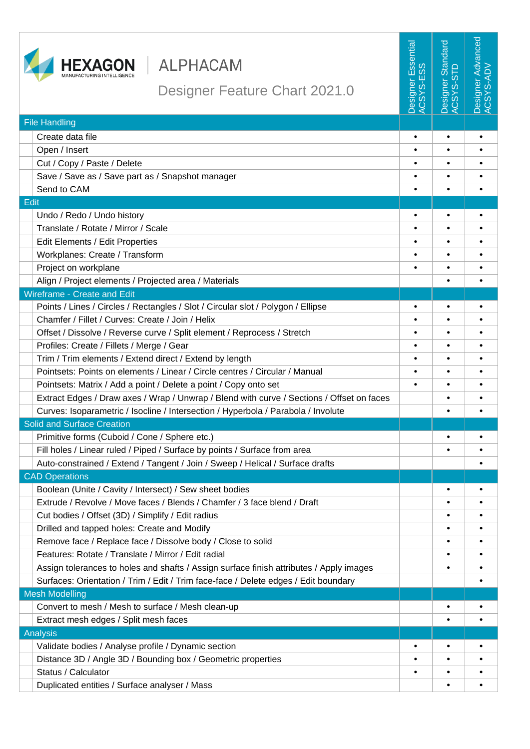

File Handling

CAD Operations

Edit

## HEXAGON | ALPHACAM

Designer Advanced **Jesigner Advanced Designer Essential**<br>ACSYS-ESS Designer Essential Designer Standard lesigner Standard<br>CSYS-STD ACSYS-ADV Designer Feature Chart 2021.0 Create data file **• • •** Open / Insert **• • •** Cut / Copy / Paste / Delete **• • •** Save / Save as / Save part as / Snapshot manager **• • •** Send to CAM **• • •** Undo / Redo / Undo history **• • •** Translate / Rotate / Mirror / Scale **• • •** Edit Elements / Edit Properties **• • •** Workplanes: Create / Transform **• • •** Project on workplane **• • •** Align / Project elements / Projected area / Materials **• •** Wireframe - Create and Edit Points / Lines / Circles / Rectangles / Slot / Circular slot / Polygon / Ellipse **• • •** Chamfer / Fillet / Curves: Create / Join / Helix **• • •** Offset / Dissolve / Reverse curve / Split element / Reprocess / Stretch **• • •** Profiles: Create / Fillets / Merge / Gear **• • •** Trim / Trim elements / Extend direct / Extend by length **• • •** Pointsets: Points on elements / Linear / Circle centres / Circular / Manual **• • •** Pointsets: Matrix / Add a point / Delete a point / Copy onto set **• • •** Extract Edges / Draw axes / Wrap / Unwrap / Blend with curve / Sections / Offset on faces **• •** Curves: Isoparametric / Isocline / Intersection / Hyperbola / Parabola / Involute **• •** Solid and Surface Creation Primitive forms (Cuboid / Cone / Sphere etc.) **• •** Fill holes / Linear ruled / Piped / Surface by points / Surface from area **• •** Auto-constrained / Extend / Tangent / Join / Sweep / Helical / Surface drafts **•** Boolean (Unite / Cavity / Intersect) / Sew sheet bodies **• •** Extrude / Revolve / Move faces / Blends / Chamfer / 3 face blend / Draft **• •** Cut bodies / Offset (3D) / Simplify / Edit radius **• •** Drilled and tapped holes: Create and Modify **• •** Remove face / Replace face / Dissolve body / Close to solid **• •** Features: Rotate / Translate / Mirror / Edit radial **• •** Assign tolerances to holes and shafts / Assign surface finish attributes / Apply images **• • • • • •** Surfaces: Orientation / Trim / Edit / Trim face-face / Delete edges / Edit boundary **•**

Mesh Modelling Convert to mesh / Mesh to surface / Mesh clean-up **• •** Extract mesh edges / Split mesh faces **• •** Analysis Validate bodies / Analyse profile / Dynamic section **• • •** Distance 3D / Angle 3D / Bounding box / Geometric properties **• • •** Status / Calculator **• • •** Duplicated entities / Surface analyser / Mass **• •**